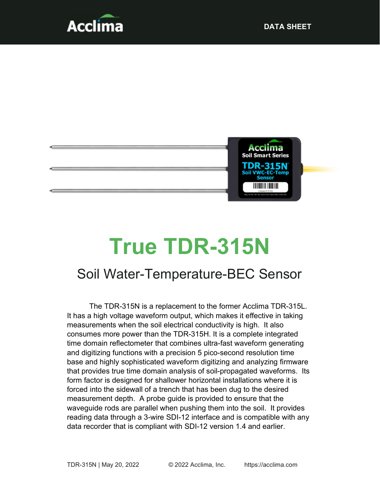



# True TDR-315N

# Soil Water-Temperature-BEC Sensor

The TDR-315N is a replacement to the former Acclima TDR-315L. It has a high voltage waveform output, which makes it effective in taking measurements when the soil electrical conductivity is high. It also consumes more power than the TDR-315H. It is a complete integrated time domain reflectometer that combines ultra-fast waveform generating and digitizing functions with a precision 5 pico-second resolution time base and highly sophisticated waveform digitizing and analyzing firmware that provides true time domain analysis of soil-propagated waveforms. Its form factor is designed for shallower horizontal installations where it is forced into the sidewall of a trench that has been dug to the desired measurement depth. A probe guide is provided to ensure that the waveguide rods are parallel when pushing them into the soil. It provides reading data through a 3-wire SDI-12 interface and is compatible with any data recorder that is compliant with SDI-12 version 1.4 and earlier.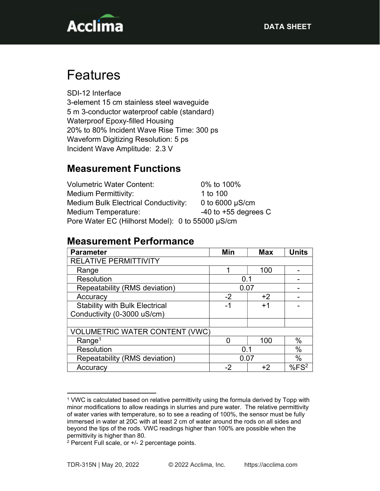

# Features

SDI-12 Interface 3-element 15 cm stainless steel waveguide 5 m 3-conductor waterproof cable (standard) Waterproof Epoxy-filled Housing 20% to 80% Incident Wave Rise Time: 300 ps Waveform Digitizing Resolution: 5 ps Incident Wave Amplitude: 2.3 V

## Measurement Functions

| <b>Volumetric Water Content:</b>                 | 0% to 100%               |  |  |
|--------------------------------------------------|--------------------------|--|--|
| <b>Medium Permittivity:</b>                      | 1 to 100                 |  |  |
| <b>Medium Bulk Electrical Conductivity:</b>      | 0 to $6000 \mu S/cm$     |  |  |
| Medium Temperature:                              | $-40$ to $+55$ degrees C |  |  |
| Pore Water EC (Hilhorst Model): 0 to 55000 µS/cm |                          |  |  |

#### Measurement Performance

| <b>Parameter</b>                      | Min  | <b>Max</b> | <b>Units</b>     |
|---------------------------------------|------|------------|------------------|
| <b>RELATIVE PERMITTIVITY</b>          |      |            |                  |
| Range                                 | 1    | 100        |                  |
| <b>Resolution</b>                     | 0.1  |            |                  |
| Repeatability (RMS deviation)         | 0.07 |            |                  |
| Accuracy                              | $-2$ | $+2$       |                  |
| <b>Stability with Bulk Electrical</b> | -1   | $+1$       |                  |
| Conductivity (0-3000 uS/cm)           |      |            |                  |
|                                       |      |            |                  |
| <b>VOLUMETRIC WATER CONTENT (VWC)</b> |      |            |                  |
| Range <sup>1</sup>                    |      | 100        | %                |
| Resolution                            | 0.1  |            | $\%$             |
| Repeatability (RMS deviation)         | 0.07 |            | $\%$             |
| Accuracy                              | -2   | +2         | %FS <sup>2</sup> |

<sup>1</sup> VWC is calculated based on relative permittivity using the formula derived by Topp with minor modifications to allow readings in slurries and pure water. The relative permittivity of water varies with temperature, so to see a reading of 100%, the sensor must be fully immersed in water at 20C with at least 2 cm of water around the rods on all sides and beyond the tips of the rods. VWC readings higher than 100% are possible when the permittivity is higher than 80.

<sup>2</sup> Percent Full scale, or +/- 2 percentage points.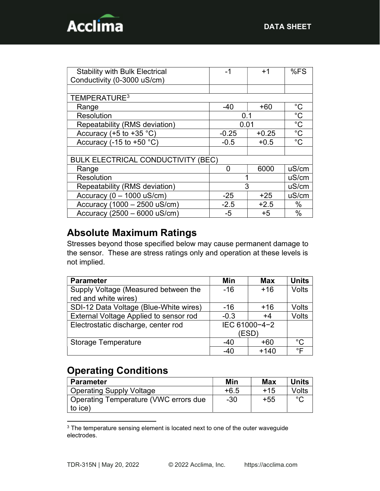

| <b>Stability with Bulk Electrical</b>     | -1      | $+1$    | %FS          |
|-------------------------------------------|---------|---------|--------------|
| Conductivity (0-3000 uS/cm)               |         |         |              |
|                                           |         |         |              |
| TEMPERATURE <sup>3</sup>                  |         |         |              |
| Range                                     | $-40$   | $+60$   | $^{\circ}$ C |
| Resolution                                | 0.1     |         | $^{\circ}C$  |
| Repeatability (RMS deviation)             | 0.01    |         | $^{\circ}C$  |
| Accuracy (+5 to +35 $°C$ )                | $-0.25$ | $+0.25$ | $^{\circ}C$  |
| Accuracy (-15 to +50 $°C$ )               | $-0.5$  | $+0.5$  | $^{\circ}$ C |
|                                           |         |         |              |
| <b>BULK ELECTRICAL CONDUCTIVITY (BEC)</b> |         |         |              |
| Range                                     | O       | 6000    | uS/cm        |
| <b>Resolution</b>                         |         |         | uS/cm        |
| Repeatability (RMS deviation)             | 3       |         | uS/cm        |
| Accuracy ( $0 - 1000$ uS/cm)              | $-25$   | $+25$   | uS/cm        |
| Accuracy (1000 - 2500 uS/cm)              | $-2.5$  | $+2.5$  | $\%$         |
| Accuracy (2500 - 6000 uS/cm)              | -5      | $+5$    | $\%$         |

## Absolute Maximum Ratings

Stresses beyond those specified below may cause permanent damage to the sensor. These are stress ratings only and operation at these levels is not implied.

| <b>Parameter</b>                       | Min           | <b>Max</b> | <b>Units</b> |
|----------------------------------------|---------------|------------|--------------|
| Supply Voltage (Measured between the   | $-16$         | $+16$      | <b>Volts</b> |
| red and white wires)                   |               |            |              |
| SDI-12 Data Voltage (Blue-White wires) | $-16$         | $+16$      | Volts        |
| External Voltage Applied to sensor rod | $-0.3$        | $+4$       | Volts        |
| Electrostatic discharge, center rod    | IEC 61000-4-2 |            |              |
|                                        | (ESD)         |            |              |
| <b>Storage Temperature</b>             | $-40$         | $+60$      | °C           |
|                                        | $-40$         | $+140$     | ∘⊏           |

## Operating Conditions

| <b>Parameter</b>                      | Min    | Max   | <b>Units</b> |
|---------------------------------------|--------|-------|--------------|
| <b>Operating Supply Voltage</b>       | $+6.5$ | $+15$ | Volts        |
| Operating Temperature (VWC errors due | $-30$  | $+55$ | $\circ$      |
| to ice)                               |        |       |              |

<sup>&</sup>lt;sup>3</sup> The temperature sensing element is located next to one of the outer waveguide electrodes.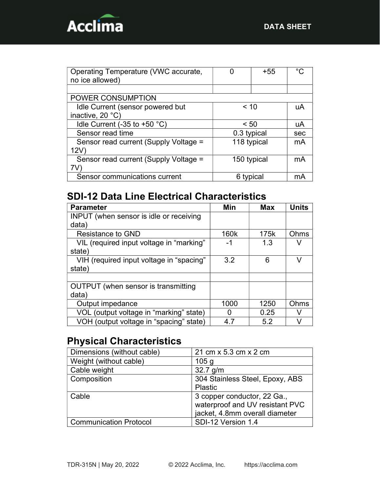

| Operating Temperature (VWC accurate,  |             | $+55$ | ∘∩  |
|---------------------------------------|-------------|-------|-----|
| no ice allowed)                       |             |       |     |
|                                       |             |       |     |
| POWER CONSUMPTION                     |             |       |     |
| Idle Current (sensor powered but      | ~10         |       | uA  |
| inactive, 20 °C)                      |             |       |     |
| Idle Current (-35 to +50 $°C$ )       | < 50        |       | uA  |
| Sensor read time                      | 0.3 typical |       | sec |
| Sensor read current (Supply Voltage = | 118 typical |       | mA  |
| 12V                                   |             |       |     |
| Sensor read current (Supply Voltage = | 150 typical | mA    |     |
| 7V                                    |             |       |     |
| Sensor communications current         | 6 typical   | mA    |     |

# SDI-12 Data Line Electrical Characteristics

| <b>Parameter</b>                               | Min  | <b>Max</b> | <b>Units</b> |
|------------------------------------------------|------|------------|--------------|
| <b>INPUT</b> (when sensor is idle or receiving |      |            |              |
| data)                                          |      |            |              |
| <b>Resistance to GND</b>                       | 160k | 175k       | Ohms         |
| VIL (required input voltage in "marking"       | -1   | 1.3        |              |
| state)                                         |      |            |              |
| VIH (required input voltage in "spacing"       | 3.2  | 6          | v            |
| state)                                         |      |            |              |
|                                                |      |            |              |
| OUTPUT (when sensor is transmitting            |      |            |              |
| data)                                          |      |            |              |
| Output impedance                               | 1000 | 1250       | Ohms         |
| VOL (output voltage in "marking" state)        | 0    | 0.25       |              |
| VOH (output voltage in "spacing" state)        | 4.7  | 5.2        | À.           |

# Physical Characteristics

| Dimensions (without cable)    | 21 cm x 5.3 cm x 2 cm                                                                            |
|-------------------------------|--------------------------------------------------------------------------------------------------|
| Weight (without cable)        | 105 <sub>g</sub>                                                                                 |
| Cable weight                  | $32.7$ g/m                                                                                       |
| Composition                   | 304 Stainless Steel, Epoxy, ABS<br>Plastic                                                       |
| Cable                         | 3 copper conductor, 22 Ga.,<br>waterproof and UV resistant PVC<br>jacket, 4.8mm overall diameter |
| <b>Communication Protocol</b> | SDI-12 Version 1.4                                                                               |